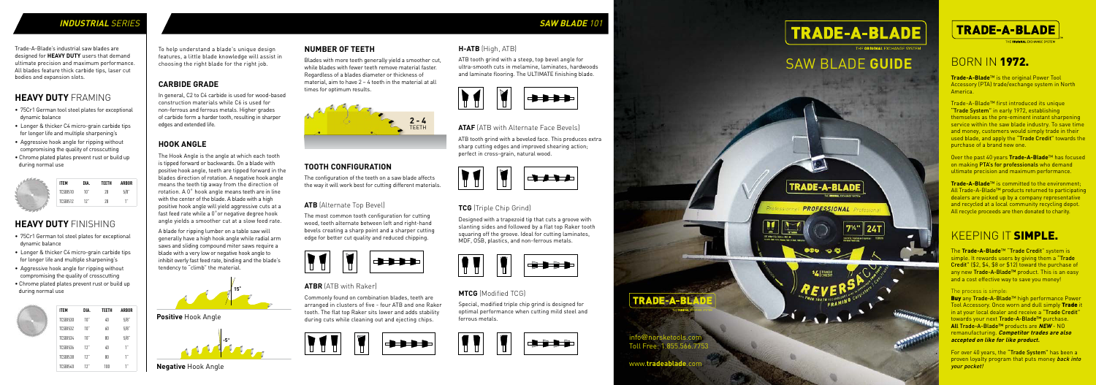info@norsketools.com Toll Free: 1.855.566.7753

**TRADE-A-BI** 

The **Trade-A-Blade**™ "Trade Credit" system is simple. It rewards users by giving them a "Trade" Credit" (\$2, \$4, \$8 or \$12) toward the purchase of any new Trade-A-Blade™ product. This is an easy and a cost effective way to save you money!

www.**tradeablade**.com

**TRADE-A-BLADE** 

E ORIGINAL EXCHANGE SYSTE

#### The process is simple:

Buy any Trade-A-Blade™ high performance Power Tool Accessory. Once worn and dull simply Trade it in at your local dealer and receive a "Trade Credit" towards your next Trade-A-Blade™ purchase. **All** Trade-A-Blade™ products are **NEW** - NO remanufacturing. **Competitor trades are also accepted on like for like product.**

For over 40 years, the "Trade System" has been a proven loyalty program that puts money back into your pocket!

**Trade-A-Blade**™ is the original Power Tool Accessory (PTA) trade/exchange system in North America.

Trade-A-Blade™ first introduced its unique "Trade System" in early 1972, establishing themselves as the pre-eminent instant sharpening service within the saw blade industry. To save time and money, customers would simply trade in their used blade, and apply the "Trade Credit" towards the purchase of a brand new one.

Over the past 40 years **Trade-A-Blade**™ has focused on making PTA's for professionals who demand ultimate precision and maximum performance.

**Trade-A-Blade**™ is committed to the environment; All Trade-A-Blade™ products returned to participating dealers are picked up by a company representative and recycled at a local community recycling depot. All recycle proceeds are then donated to charity.

## BORN IN 1972.

## KEEPING IT SIMPLE.

# SAW BLADE **GUIDE**



#### **SAW BLADE** 101

#### **ATB** (Alternate Top Bevel)

The most common tooth configuration for cutting wood, teeth alternate between left and right-hand bevels creating a sharp point and a sharper cutting edge for better cut quality and reduced chipping.



#### **ATBR** (ATB with Raker)

Commonly found on combination blades, teeth are arranged in clusters of five - four ATB and one Raker tooth. The flat top Raker sits lower and adds stability during cuts while cleaning out and ejecting chips.



#### **CARBIDE GRADE**

In general, C2 to C4 carbide is used for wood-based construction materials while C6 is used for non-ferrous and ferrous metals. Higher grades of carbide form a harder tooth, resulting in sharper edges and extended life.

### **NUMBER OF TEETH**

Blades with more teeth generally yield a smoother cut, while blades with fewer teeth remove material faster. Regardless of a blades diameter or thickness of material, aim to have 2 – 4 teeth in the material at all times for optimum results.

To help understand a blade's unique design features, a little blade knowledge will assist in choosing the right blade for the right job.

#### **HOOK ANGLE**

The Hook Angle is the angle at which each tooth is tipped forward or backwards. On a blade with positive hook angle, teeth are tipped forward in the blades direction of rotation. A negative hook angle means the teeth tip away from the direction of rotation. A 0˚ hook angle means teeth are in line with the center of the blade. A blade with a high positive hook angle will yield aggressive cuts at a fast feed rate while a 0˚or negative degree hook angle yields a smoother cut at a slow feed rate.

A blade for ripping lumber on a table saw will generally have a high hook angle while radial arm saws and sliding compound miter saws require a blade with a very low or negative hook angle to inhibit overly fast feed rate, binding and the blade's tendency to "climb" the material.

#### **ATAF** (ATB with Alternate Face Bevels)

ATB tooth grind with a beveled face. This produces extra sharp cutting edges and improved shearing action; perfect in cross-grain, natural wood.



#### **TCG** (Triple Chip Grind)

Designed with a trapezoid tip that cuts a groove with slanting sides and followed by a flat top Raker tooth squaring off the groove. Ideal for cutting laminates, MDF, OSB, plastics, and non-ferrous metals.



#### **MTCG** (Modified TCG)

Special, modified triple chip grind is designed for optimal performance when cutting mild steel and ferrous metals.







**H-ATB** (High, ATB)



#### ATB tooth grind with a steep, top bevel angle for ultra-smooth cuts in melamine, laminates, hardwoods and laminate flooring. The ULTIMATE finishing blade.

## **TOOTH CONFIGURATION**

The configuration of the teeth on a saw blade affects the way it will work best for cutting different materials.





**Positive** Hook Angle



## **HEAVY DUTY** FRAMING

- 75Cr1 German tool steel plates for exceptional dynamic balance
- Longer & thicker C4 micro-grain carbide tips for longer life and multiple sharpening's
- Aggressive hook angle for ripping without compromising the quality of crosscutting
- Chrome plated plates prevent rust or build up during normal use

## **HEAVY DUTY** FINISHING

- 75Cr1 German tol steel plates for exceptional dynamic balance
- Longer & thicker C4 micro-grain carbide tips for longer life and multiple sharpening's
- Aggressive hook angle for ripping without compromising the quality of crosscutting
- Chrome plated plates prevent rust or build up during normal use



Trade-A-Blade's industrial saw blades are designed for **HEAVY DUTY** users that demand ultimate precision and maximum performance. All blades feature thick carbide tips, laser cut bodies and expansion slots.

| <b>ITEM</b> | DIA. | <b>TEETH</b> | <b>ARBOR</b> |
|-------------|------|--------------|--------------|
| TCSBI510    | 10"  | 28           | $5/8$ "      |
| TCSBI512    | 12"  | 28           | $\cdots$     |
|             |      |              |              |

| <b>ITEM</b>     | DIA. | <b>TEETH</b> | <b>ARBOR</b> |
|-----------------|------|--------------|--------------|
| <b>TCSBI530</b> | 10"  | 40           | 5/8          |
| <b>TCSBI532</b> | 10"  | 60           | 5/8          |
| <b>TCSBI534</b> | 10"  | 80           | 5/8          |
| TCSBI536        | 12"  | 40           | 1"           |
| <b>TCSBI538</b> | 12"  | 80           | 1"           |
| TCSBI540        | 17'  | 1 N N        |              |

#### **INDUSTRIAL** SERIES